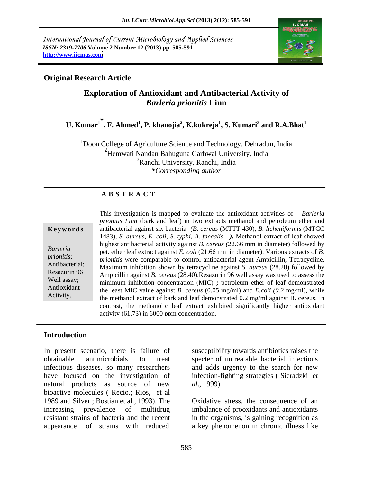International Journal of Current Microbiology and Applied Sciences *ISSN: 2319-7706* **Volume 2 Number 12 (2013) pp. 585-591 <http://www.ijcmas.com>**



### **Original Research Article**

# **Exploration of Antioxidant and Antibacterial Activity of** *Barleria prionitis* **Linn**

#### ${\bf U.}$   ${\bf Kumar^1}^*$ ,  ${\bf F.}$   ${\bf Ahmed^1}$ ,  ${\bf P.}$   ${\bf khanojia^2}$ ,  ${\bf K.}$ kukreja $^1,$   ${\bf S.}$   ${\bf Kumari^3}$  and  ${\bf R.A.Bhat^1}$  **and R.A.Bhat<sup>1</sup>**

<sup>1</sup>Doon College of Agriculture Science and Technology, Dehradun, India <sup>2</sup>Hemwati Nandan Bahuguna Garhwal University, India 3Ranchi University, Ranchi, India *\*Corresponding author* 

### **A B S T R A C T**

**Ke ywo rds** antibacterial against six bacteria *(B. cereus* (MTTT 430), *B. licheniformis*(MTCC *Barleria* pet. ether leaf extract against *E. coli* (21.66 mm in diameter). Various extracts of *B*. *prionitis; prionitis* were comparable to control antibacterial agent Ampicillin, Tetracycline. Antibacterial; Maximum inhibition shown by tetracycline against *S. aureus* (28.20) followed by Resazurin 96 Ampicillin against *B. cereus* (28.40).Resazurin 96 well assay was used to assess the Well assay;<br>
minimum inhibition concentration (MIC) **;** petroleum ether of leaf demonstrated Antioxidant the least MIC value against *B. cereus* (0.05 mg/ml) and *E.coli* (0.2 mg/ml), while Activity.<br>the methanol extract of bark and leaf demonstrated 0.2 mg/ml against B. cereus. In This investigation is mapped to evaluate the antioxidant activities of *Barleria prionitis Linn* (bark and leaf) in two extracts methanol and petroleum ether and 1483), *S. aureus, E. coli, S. typhi, A. faecalis ).* Methanol extract of leaf showed highest antibacterial activity against *B. cereus (*22.66 mm in diameter) followed by contrast, the methanolic leaf extract exhibited significantly higher antioxidant activity (61.73) in 6000 ppm concentration.

### **Introduction**

In present scenario, there is failure of susceptibility towards antibiotics raises the obtainable antimicrobials to treat specter of untreatable bacterial infections infectious diseases, so many researchers and adds urgency to the search for new have focused on the investigation of natural products as source of new *al.*, 1999). bioactive molecules ( Recio.; Rios, et al 1989 and Silver.; Bostian et al., 1993). The Oxidative stress, the consequence of an increasing prevalence of multidrug imbalance of prooxidants and antioxidants resistant strains of bacteria and the recent in the organisms, is gaining recognition as

infection-fighting strategies ( Sieradzki *et al*., 1999).

appearance of strains with reduced a key phenomenon in chronic illness like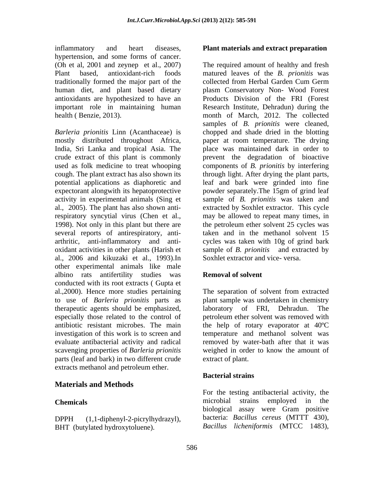inflammatory and heart diseases, **Plant materials and extract preparation** hypertension, and some forms of cancer. traditionally formed the major part of the human diet, and plant based dietary

India, Sri Lanka and tropical Asia. The several reports of antirespiratory, anti al., 2006 and kikuzaki et al., 1993).In other experimental animals like male albino rats antifertility studies was **Removal of solvent** conducted with its root extracts ( Gupta et al.,2000). Hence more studies pertaining The separation of solvent from extracted to use of *Barleria prionitis* parts as plant sample was undertaken in chemistry therapeutic agents should be emphasized, especially those related to the control of petroleum ether solvent was removed with antibiotic resistant microbes. The main the help of rotary evaporator at 40°C investigation of this work is to screen and temperature and methanol solvent was evaluate antibacterial activity and radical removed by water-bath after that it was scavenging properties of *Barleria prionitis* weighed in order to know the amount of parts (leaf and bark) in two different crude extracts methanol and petroleum ether. inflanmatory and heat discuss. Thus materials and extract preparation<br>inferred to the state of the state of the state of the state of the state of the state of the state<br>three intervents and the material content material c

### **Materials and Methods**

(Oh et al, 2001 and zeynep et al., 2007) The required amount of healthy and fresh Plant based, antioxidant-rich foods matured leaves of the *B. prionitis* was antioxidants are hypothesized to have an Products Division of the FRI (Forest important role in maintaining human Research Institute, Dehradun) during the health ( Benzie, 2013). month of March, 2012. The collected *Barleria prionitis* Linn (Acanthaceae) is chopped and shade dried in the blotting mostly distributed throughout Africa, paper at room temperature. The drying crude extract of this plant is commonly prevent the degradation of bioactive used as folk medicine to treat whooping components of *B. prionitis* by interfering cough. The plant extract has also shown its through light. After drying the plant parts, potential applications as diaphoretic and leaf and bark were grinded into fine expectorant alongwith its hepatoprotective powder separately.The 15gm of grind leaf activity in experimental animals (Sing et sample of *B. prionitis* was taken and al., 2005). The plant has also shown anti-extracted by Soxhlet extractor. This cycle respiratory syncytial virus (Chen et al., may be allowed to repeat many times, in 1998). Not only in this plant but there are the petroleum ether solvent 25 cycles was arthritic, anti-inflammatory and anti- cycles was taken with 10g of grind bark oxidant activities in other plants (Harish et sample of *B. prionitis* and extracted by collected from Herbal Garden Cum Germ plasm Conservatory Non- Wood Forest samples of *B. prionitis* were cleaned, place was maintained dark in order to taken and in the methanol solvent 15 Soxhlet extractor and vice- versa.

### **Removal of solvent**

laboratory of FRI, Dehradun. extract of plant.

#### **Bacterial strains**

**Chemicals Chemical Chemical Chemical Chemical Chemical Chemical Chemical Chemical Chemical Chemical Chemical Chemical Chemical Chemical Chemical Chemical Chemical Chemical Chemical** DPPH (1,1-diphenyl-2-picrylhydrazyl), bacteria: *Bacillus cereus* (MTTT 430), For the testing antibacterial activity, the microbial strains employed in the biological assay were Gram positive bacteria: *Bacillus cereus* (MTTT 430), *Bacillus licheniformis* (MTCC 1483),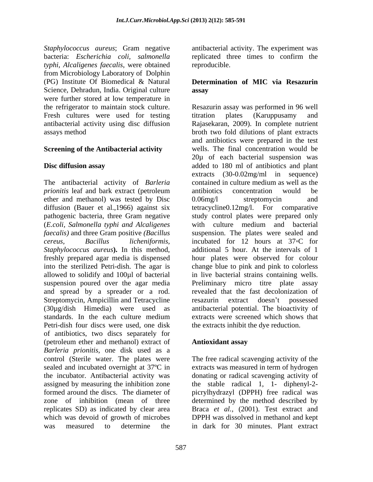*Staphylococcus aureus*; Gram negative antibacterial activity. The experiment was bacteria: *Escherichia coli, salmonella typhi, Alcaligenes faecalis*, were obtained from Microbiology Laboratory of Dolphin (PG) Institute Of Biomedical & Natural **Determination of MIC via Resazurin** Science, Dehradun, India. Original culture **assay** were further stored at low temperature in Fresh cultures were used for testing titration plates (Karuppusamy and

### **Screening of the Antibacterial activity**

The antibacterial activity of *Barleria* contained in culture medium as well as the *prionitis* leaf and bark extract (petroleum antibiotics concentration would be ether and methanol) was tested by Disc  $0.06$ mg/l streptomycin and *faecalis)* and three Gram positive *(Bacillus Staphylococcus aureus***).** In this method, suspension poured over the agar media Streptomycin, Ampicillin and Tetracycline resazurin<br>
(30ug/dish Himedia) were used as antibacteria Petri-dish four discs were used, one disk of antibiotics, two discs separately for (petroleum ether and methanol) extract of **Antioxidant assay** *Barleria prionitis*, one disk used as a control (Sterile water. The plates were The free radical scavenging activity of the sealed and incubated overnight at 37ºC in extracts was measured in term of hydrogen the incubator. Antibacterial activity was assigned by measuring the inhibition zone<br>formed around the discs. The diameter of formed around the discs. The diameter of picrylhydrazyl (DPPH) free radical was zone of inhibition (mean of three determined by the method described by replicates SD) as indicated by clear area which was devoid of growth of microbes was measured to determine the in dark for 30 minutes. Plant extract

replicated three times to confirm the reproducible.

#### **Determination of MIC via Resazurin assay**

the refrigerator to maintain stock culture. Resazurin assay was performed in 96 well antibacterial activity using disc diffusion Rajasekaran, 2009). In complete nutrient assays method broth two fold dilutions of plant extracts **Disc diffusion assay** added to 180 ml of antibiotics and plant diffusion (Bauer et al.,1966) against six tetracycline0.12mg/l. For comparative pathogenic bacteria, three Gram negative study control plates were prepared only (*E.coli, Salmonella typhi and Alcaligenes* with culture medium and bacterial *cereus, Bacillus licheniformis,* incubated for 12 hours at 37 C for freshly prepared agar media is dispensed hour plates were observed for colour into the sterilized Petri-dish. The agar is change blue to pink and pink to colorless allowed to solidify and 100µl of bacterial in live bacterial strains containing wells. and spread by a spreader or a rod. revealed that the fast decolonization of (30µg/dish Himedia) were used as antibacterial potential. The bioactivity of standards. In the each culture medium extracts were screened which shows that titration plates (Karuppusamy and and antibiotics were prepared in the test wells. The final concentration would be 20µ of each bacterial suspension was extracts (30-0.02mg/ml in sequence) contained in culture medium as well as the antibiotics concentration would be 0.06mg/l streptomycin and suspension. The plates were sealed and additional 5 hour. At the intervals of 1 Preliminary micro titre plate assay extract doesn't possessed extracts were screened which shows that the extracts inhibit the dye reduction.

#### **Antioxidant assay**

donating or radical scavenging activity of the stable radical 1, 1- diphenyl-2- Braca *et al.,* (2001). Test extract and DPPH was dissolved in methanol and kept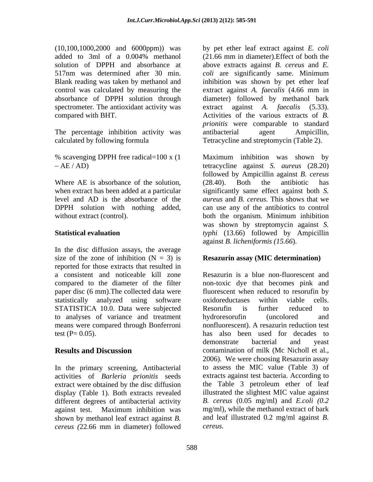(10,100,1000,2000 and 6000ppm)) was Blank reading was taken by methanol and

The percentage inhibition activity was antibacterial agent Ampicillin,

Where AE is absorbance of the solution, (28.40). Both the antibiotic has level and AD is the absorbance of the

In the disc diffusion assays, the average size of the zone of inhibition  $(N = 3)$  is reported for those extracts that resulted in a consistent and noticeable kill zone statistically analyzed using software oxidoreductases within viable cells. STATISTICA 10.0. Data were subjected Resorufin is further reduced to to analyses of variance and treatment means were compared through Bonferroni

In the primary screening, Antibacterial activities of *Barleria prionitis* seeds extract were obtained by the disc diffusion display (Table 1). Both extracts revealed different degrees of antibacterial activity against test. Maximum inhibition was shown by methanol leaf extract against *B. cereus (*22.66 mm in diameter) followed

added to 3ml of a 0.004% methanol (21.66 mm in diameter). Effect of both the solution of DPPH and absorbance at above extracts against *B. cereus* and *E.*  517nm was determined after 30 min. *coli* are significantly same. Minimum control was calculated by measuring the extract against *A.faecalis* (4.66 mm in absorbance of DPPH solution through diameter) followed by methanol bark spectrometer. The antioxidant activity was extract against *A. faecalis* (5.33). compared with BHT. Activities of the various extracts of *B.*  The percentage inhibition activity was antibacterial agent Ampicillin,<br>
calculated by following formula Tetracycline and streptomycin (Table 2). by pet ether leaf extract against *E.coli* (21.66 mm in diameter).Effect of both the inhibition was shown by pet ether leaf *prionitis* were comparable to standard

% scavenging DPPH free radical=100 x (1 Maximum inhibition was shown by AE / AD) tetracycline against *S. aureus* (28.20) when extract has been added at a particular significantly same effect against both *S.*  DPPH solution with nothing added, can use any of the antibiotics to control without extract (control). both the organism. Minimum inhibition **Statistical evaluation** *typhi* (13.66) followed by Ampicillin followed by Ampicillin against *B. cereus* (28.40). Both the antibiotic has *aureus* and *B. cereus.* This shows that we was shown by streptomycin against *S.*  against *B. licheniformis (15.66*).

#### **Resazurin assay (MIC determination)**

compared to the diameter of the filter non-toxic dye that becomes pink and paper disc (6 mm).The collected data were fluorescent when reduced to resorufin by test  $(P= 0.05)$ . has also been used for decades to **Results and Discussion** contamination of milk (Mc Nicholl et al., Resazurin is a blue non-fluorescent and oxidoreductases within viable cells. Resorufin is further reduced to hydroresorufin (uncolored and nonfluorescent). A resazurin reduction test demonstrate bacterial and yeast 2006). We were choosing Resazurin assay to assess the MIC value (Table 3) of extracts against test bacteria. According to the Table 3 petroleum ether of leaf illustrated the slightest MIC value against *B. cereus* (0.05 mg/ml) and *E.coli (0.2* mg/ml)*,* while the methanol extract of bark and leaf illustrated 0.2 mg/ml against *B. cereus.*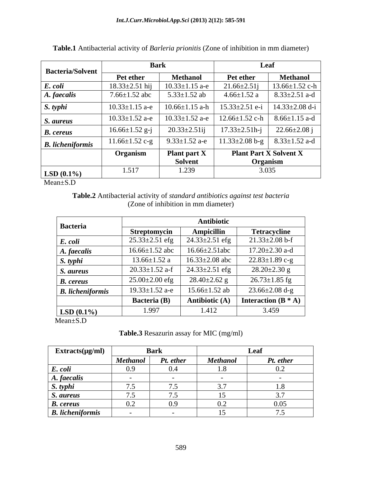| <b>Bacteria/Solvent</b> | <b>Bark</b>          |                      | Leaf                          |                     |  |
|-------------------------|----------------------|----------------------|-------------------------------|---------------------|--|
|                         | Pet ether            | <b>Methanol</b>      | Pet ether                     | <b>Methanol</b>     |  |
| E. coli                 | $18.33 \pm 2.51$ hij | $10.33 \pm 1.15$ a-e | $21.66 \pm 2.51$ j            | 13.66±1.52 c-h      |  |
| A. faecalis             | $7.66 \pm 1.52$ abc  | $5.33 \pm 1.52$ ab   | $4.66 \pm 1.52$ a             | $8.33 \pm 2.51$ a-d |  |
| S. typhi                | $10.33 \pm 1.15$ a-e | $10.66 \pm 1.15$ a-h | $15.33 \pm 2.51$ e-i          | 14.33±2.08 d-i      |  |
| S. aureus               | $10.33 \pm 1.52$ a-e | $10.33 \pm 1.52$ a-e | $12.66 \pm 1.52$ c-h          | $8.66 \pm 1.15$ a-d |  |
| <b>B.</b> cereus        | $16.66 \pm 1.52$ g-j | $20.33 \pm 2.51$ ij  | $17.33 \pm 2.51 h - j$        | $22.66 \pm 2.08$ j  |  |
| <b>B.</b> licheniformis | $11.66 \pm 1.52$ c-g | $9.33 \pm 1.52$ a-e  | $11.33 \pm 2.08$ b-g          | $8.33 \pm 1.52$ a-d |  |
|                         | Organism             | <b>Plant part X</b>  | <b>Plant Part X Solvent X</b> |                     |  |
|                         |                      | <b>Solvent</b>       | Organism                      |                     |  |
| $LSD(0.1\%)$            | 1.517                | 1.239                | 3.035                         |                     |  |

|  | Table.1 Antibacterial activity of Barleria prionitis (Zone of inhibition in mm diameter) |  |  |  |  |  |  |  |
|--|------------------------------------------------------------------------------------------|--|--|--|--|--|--|--|
|--|------------------------------------------------------------------------------------------|--|--|--|--|--|--|--|

 $Mean \pm S.D$ 

Table.2 Antibacterial activity of standard antibiotics against test bacteria (Zone of inhibition in mm diameter)

| <b>Bacteria</b>                     | <b>Antibiotic</b>    |                      |                       |  |  |  |
|-------------------------------------|----------------------|----------------------|-----------------------|--|--|--|
|                                     | Streptomycin         | <b>Ampicillin</b>    | <b>Tetracycline</b>   |  |  |  |
| E. coli                             | $25.33 \pm 2.51$ efg | $24.33 \pm 2.51$ efg | $21.33 \pm 2.08$ b-f  |  |  |  |
| $16.66 \pm 1.52$ abc<br>A. faecalis |                      | $16.66 \pm 2.51$ abc | $17.20 \pm 2.30$ a-d  |  |  |  |
| $13.66 \pm 1.52$ a<br>S. typhi      |                      | $16.33 \pm 2.08$ abc | $22.83 \pm 1.89$ c-g  |  |  |  |
| S. aureus                           | $20.33 \pm 1.52$ a-f | $24.33 \pm 2.51$ efg | $28.20 \pm 2.30$ g    |  |  |  |
| <b>B.</b> cereus                    | $25.00 \pm 2.00$ efg |                      | $26.73 \pm 1.85$ fg   |  |  |  |
| <b>B.</b> licheniformis             | $19.33 \pm 1.52$ a-e | $15.66 \pm 1.52$ ab  | $23.66 \pm 2.08$ d-g  |  |  |  |
|                                     | <b>Bacteria</b> (B)  | Antibiotic (A)       | Interaction $(B^* A)$ |  |  |  |
| 1.997<br>$LSD(0.1\%)$               |                      | 1.412                | 3.459                 |  |  |  |

 $Mean \pm S.D$ 

## Table.3 Resazurin assay for MIC (mg/ml)

| $Extracts(\mu g/ml)$    | <b>Bark</b>     |           | Leaf            |           |  |
|-------------------------|-----------------|-----------|-----------------|-----------|--|
|                         | <b>Methanol</b> | Pt. ether | <b>Methanol</b> | Pt. ether |  |
| E. coli                 | (0.9)           | (0.4)     | 1.8             | 0.2       |  |
| A. faecalis             |                 |           |                 |           |  |
| S. typhi                | 7.5             | 7.5       | 3.7             | 1.8       |  |
| S. aureus               | 7.5             | 7.5       | 15              | 3.7       |  |
| <b>B.</b> cereus        | 0.2             | 0.9       | 0.2             | 0.05      |  |
| <b>B.</b> licheniformis |                 |           |                 |           |  |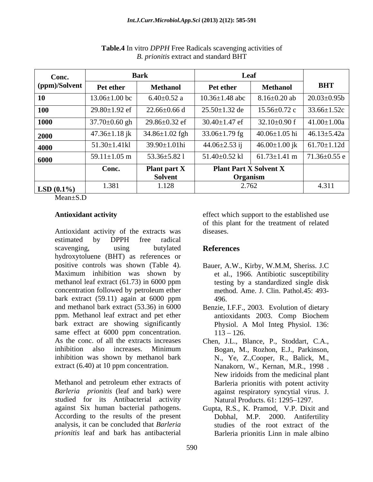| Conc.         | <b>Bark</b>         |                      | Leaf                          |                     |                    |
|---------------|---------------------|----------------------|-------------------------------|---------------------|--------------------|
| (ppm)/Solvent | Pet ether           | <b>Methanol</b>      | Pet ether                     | <b>Methanol</b>     | <b>BHT</b>         |
| 10            | $13.06 \pm 1.00$ bc | $6.40 \pm 0.52$ a    | $10.36 \pm 1.48$ abc          | $8.16\pm0.20$ ab    | $20.03 \pm 0.95b$  |
| 100           | $29.80 \pm 1.92$ ef | $22.66 \pm 0.66$ d   | $25.50 \pm 1.32$ de           | $15.56 \pm 0.72$ c  | $33.66 \pm 1.52c$  |
| 1000          | $37.70 \pm 0.60$ gh | $29.86 \pm 0.32$ ef  | $30.40 \pm 1.47$ ef           | $32.10\pm0.90$ f    | $41.00 \pm 1.00a$  |
| 2000          | $47.36 \pm 1.18$ jk | $34.86 \pm 1.02$ fgh | 33.06 $\pm$ 1.79 fg           | $40.06 \pm 1.05$ hi | $46.13 \pm 5.42a$  |
| 4000          | $51.30 \pm 1.41$ kl | 39.90±1.01hi         | $44.06 \pm 2.53$ ij           | $46.00 \pm 1.00$ jk | $61.70 \pm 1.12d$  |
| 6000          | $59.11 \pm 1.05$ m  | $53.36 \pm 5.821$    | $51.40\pm0.52$ kl             | $61.73 \pm 1.41$ m  | $71.36 \pm 0.55$ e |
|               | Conc.               | Plant part X         | <b>Plant Part X Solvent X</b> |                     |                    |
|               |                     | <b>Solvent</b>       | Organism                      |                     |                    |
| $LSD(0.1\%)$  | 1.381               | 1.128                | 2.762                         |                     | 4.311              |

**Table.4** In vitro *DPPH* Free Radicals scavenging activities of B. prionitis extract and standard BHT

 $Mean \pm S.D$ 

## **Antioxidant activity**

Antioxidant activity of the extracts was estimated  $_{\rm by}$ **DPPH** free radical scavenging, using butylated hydroxytoluene (BHT) as references or positive controls was shown (Table 4). Maximum inhibition was shown by methanol leaf extract  $(61.73)$  in 6000 ppm concentration followed by petroleum ether bark extract  $(59.11)$  again at  $6000$  ppm and methanol bark extract (53.36) in 6000 ppm. Methanol leaf extract and pet ether bark extract are showing significantly same effect at 6000 ppm concentration. As the conc. of all the extracts increases inhibition also increases. Minimum inhibition was shown by methanol bark extract  $(6.40)$  at 10 ppm concentration.

Methanol and petroleum ether extracts of Barleria prionitis (leaf and bark) were studied for its Antibacterial activity against Six human bacterial pathogens. According to the results of the present analysis, it can be concluded that Barleria prionitis leaf and bark has antibacterial

effect which support to the established use of this plant for the treatment of related diseases.

# **References**

- Bauer, A.W., Kirby, W.M.M. Sheriss. J.C. et al., 1966. Antibiotic susceptibility testing by a standardized single disk method. Ame. J. Clin. Pathol. 45: 493-496.
- Benzie, I.F.F., 2003. Evolution of dietary antioxidants 2003. Comp Biochem Physiol. A Mol Integ Physiol. 136:  $113 - 126$
- Chen, J.L., Blance, P., Stoddart, C.A., Bogan, M., Rozhon, E.J., Parkinson, N., Ye, Z., Cooper, R., Balick, M., Nanakorn, W., Kernan, M.R., 1998. New iridoids from the medicinal plant Barleria prionitis with potent activity against respiratory syncytial virus. J. Natural Products, 61: 1295-1297.
- Gupta, R.S., K. Pramod, V.P. Dixit and Dobhal. M.P. 2000. Antifertility studies of the root extract of the Barleria prionitis Linn in male albino